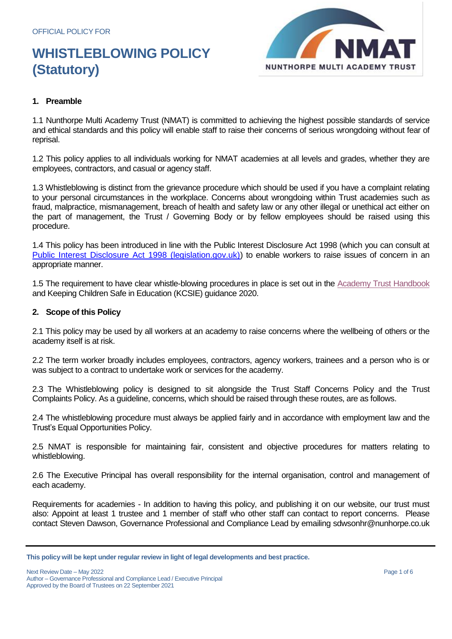

## **1. Preamble**

1.1 Nunthorpe Multi Academy Trust (NMAT) is committed to achieving the highest possible standards of service and ethical standards and this policy will enable staff to raise their concerns of serious wrongdoing without fear of reprisal.

1.2 This policy applies to all individuals working for NMAT academies at all levels and grades, whether they are employees, contractors, and casual or agency staff.

1.3 Whistleblowing is distinct from the grievance procedure which should be used if you have a complaint relating to your personal circumstances in the workplace. Concerns about wrongdoing within Trust academies such as fraud, malpractice, mismanagement, breach of health and safety law or any other illegal or unethical act either on the part of management, the Trust / Governing Body or by fellow employees should be raised using this procedure.

1.4 This policy has been introduced in line with the Public Interest Disclosure Act 1998 (which you can consult at [Public Interest Disclosure Act 1998 \(legislation.gov.uk\)\)](https://www.legislation.gov.uk/ukpga/1998/23/contents) to enable workers to raise issues of concern in an appropriate manner.

1.5 The requirement to have clear whistle-blowing procedures in place is set out in the Academy [Trust Handbook](https://www.gov.uk/government/publications/academies-financial-handbook) and Keeping Children Safe in Education (KCSIE) guidance 2020.

## **2. Scope of this Policy**

2.1 This policy may be used by all workers at an academy to raise concerns where the wellbeing of others or the academy itself is at risk.

2.2 The term worker broadly includes employees, contractors, agency workers, trainees and a person who is or was subject to a contract to undertake work or services for the academy.

2.3 The Whistleblowing policy is designed to sit alongside the Trust Staff Concerns Policy and the Trust Complaints Policy. As a guideline, concerns, which should be raised through these routes, are as follows.

2.4 The whistleblowing procedure must always be applied fairly and in accordance with employment law and the Trust's Equal Opportunities Policy.

2.5 NMAT is responsible for maintaining fair, consistent and objective procedures for matters relating to whistleblowing.

2.6 The Executive Principal has overall responsibility for the internal organisation, control and management of each academy.

Requirements for academies - In addition to having this policy, and publishing it on our website, our trust must also: Appoint at least 1 trustee and 1 member of staff who other staff can contact to report concerns. Please contact Steven Dawson, Governance Professional and Compliance Lead by emailing sdwsonhr@nunhorpe.co.uk

**This policy will be kept under regular review in light of legal developments and best practice.**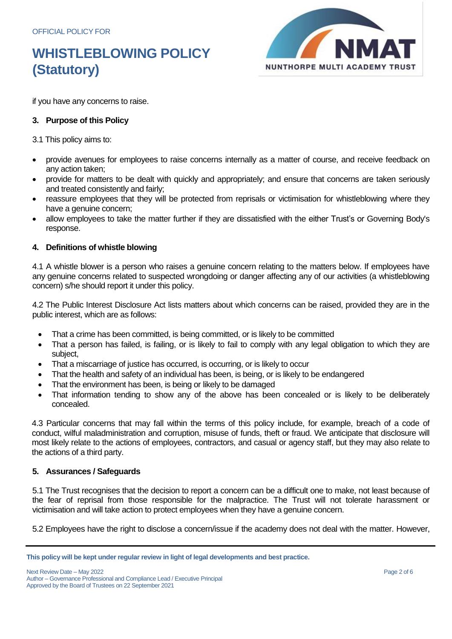

if you have any concerns to raise.

## **3. Purpose of this Policy**

3.1 This policy aims to:

- provide avenues for employees to raise concerns internally as a matter of course, and receive feedback on any action taken;
- provide for matters to be dealt with quickly and appropriately; and ensure that concerns are taken seriously and treated consistently and fairly;
- reassure employees that they will be protected from reprisals or victimisation for whistleblowing where they have a genuine concern;
- allow employees to take the matter further if they are dissatisfied with the either Trust's or Governing Body's response.

## **4. Definitions of whistle blowing**

4.1 A whistle blower is a person who raises a genuine concern relating to the matters below. If employees have any genuine concerns related to suspected wrongdoing or danger affecting any of our activities (a whistleblowing concern) s/he should report it under this policy.

4.2 The Public Interest Disclosure Act lists matters about which concerns can be raised, provided they are in the public interest, which are as follows:

- That a crime has been committed, is being committed, or is likely to be committed
- That a person has failed, is failing, or is likely to fail to comply with any legal obligation to which they are subject,
- That a miscarriage of justice has occurred, is occurring, or is likely to occur
- That the health and safety of an individual has been, is being, or is likely to be endangered
- That the environment has been, is being or likely to be damaged
- That information tending to show any of the above has been concealed or is likely to be deliberately concealed.

4.3 Particular concerns that may fall within the terms of this policy include, for example, breach of a code of conduct, wilful maladministration and corruption, misuse of funds, theft or fraud. We anticipate that disclosure will most likely relate to the actions of employees, contractors, and casual or agency staff, but they may also relate to the actions of a third party.

## **5. Assurances / Safeguards**

5.1 The Trust recognises that the decision to report a concern can be a difficult one to make, not least because of the fear of reprisal from those responsible for the malpractice. The Trust will not tolerate harassment or victimisation and will take action to protect employees when they have a genuine concern.

5.2 Employees have the right to disclose a concern/issue if the academy does not deal with the matter. However,

**This policy will be kept under regular review in light of legal developments and best practice.**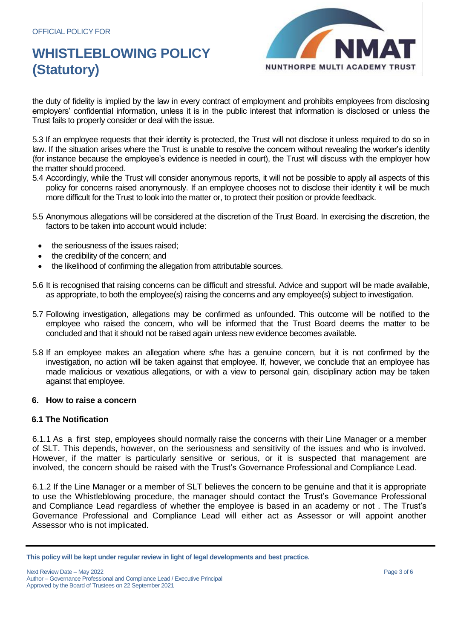

the duty of fidelity is implied by the law in every contract of employment and prohibits employees from disclosing employers' confidential information, unless it is in the public interest that information is disclosed or unless the Trust fails to properly consider or deal with the issue.

5.3 If an employee requests that their identity is protected, the Trust will not disclose it unless required to do so in law. If the situation arises where the Trust is unable to resolve the concern without revealing the worker's identity (for instance because the employee's evidence is needed in court), the Trust will discuss with the employer how the matter should proceed.

- 5.4 Accordingly, while the Trust will consider anonymous reports, it will not be possible to apply all aspects of this policy for concerns raised anonymously. If an employee chooses not to disclose their identity it will be much more difficult for the Trust to look into the matter or, to protect their position or provide feedback.
- 5.5 Anonymous allegations will be considered at the discretion of the Trust Board. In exercising the discretion, the factors to be taken into account would include:
	- the seriousness of the issues raised;
	- the credibility of the concern; and
	- the likelihood of confirming the allegation from attributable sources.
- 5.6 It is recognised that raising concerns can be difficult and stressful. Advice and support will be made available, as appropriate, to both the employee(s) raising the concerns and any employee(s) subject to investigation.
- 5.7 Following investigation, allegations may be confirmed as unfounded. This outcome will be notified to the employee who raised the concern, who will be informed that the Trust Board deems the matter to be concluded and that it should not be raised again unless new evidence becomes available.
- 5.8 If an employee makes an allegation where s/he has a genuine concern, but it is not confirmed by the investigation, no action will be taken against that employee. If, however, we conclude that an employee has made malicious or vexatious allegations, or with a view to personal gain, disciplinary action may be taken against that employee.

#### **6. How to raise a concern**

#### **6.1 The Notification**

6.1.1 As a first step, employees should normally raise the concerns with their Line Manager or a member of SLT. This depends, however, on the seriousness and sensitivity of the issues and who is involved. However, if the matter is particularly sensitive or serious, or it is suspected that management are involved, the concern should be raised with the Trust's Governance Professional and Compliance Lead.

6.1.2 If the Line Manager or a member of SLT believes the concern to be genuine and that it is appropriate to use the Whistleblowing procedure, the manager should contact the Trust's Governance Professional and Compliance Lead regardless of whether the employee is based in an academy or not . The Trust's Governance Professional and Compliance Lead will either act as Assessor or will appoint another Assessor who is not implicated.

**This policy will be kept under regular review in light of legal developments and best practice.**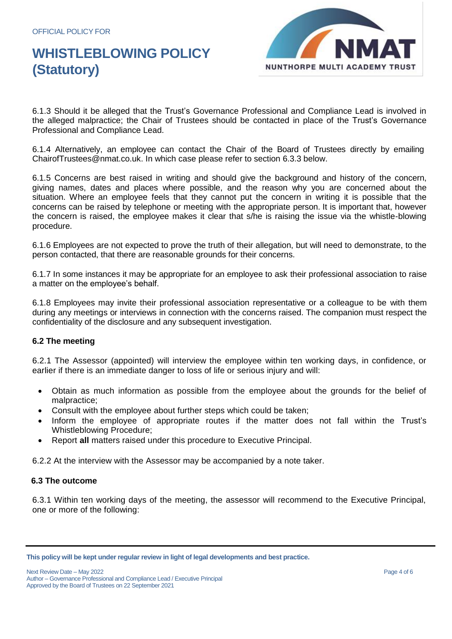

6.1.3 Should it be alleged that the Trust's Governance Professional and Compliance Lead is involved in the alleged malpractice; the Chair of Trustees should be contacted in place of the Trust's Governance Professional and Compliance Lead.

6.1.4 Alternatively, an employee can contact the Chair of the Board of Trustees directly by emailing ChairofTrustees@nmat.co.uk. In which case please refer to section 6.3.3 below.

6.1.5 Concerns are best raised in writing and should give the background and history of the concern, giving names, dates and places where possible, and the reason why you are concerned about the situation. Where an employee feels that they cannot put the concern in writing it is possible that the concerns can be raised by telephone or meeting with the appropriate person. It is important that, however the concern is raised, the employee makes it clear that s/he is raising the issue via the whistle-blowing procedure.

6.1.6 Employees are not expected to prove the truth of their allegation, but will need to demonstrate, to the person contacted, that there are reasonable grounds for their concerns.

6.1.7 In some instances it may be appropriate for an employee to ask their professional association to raise a matter on the employee's behalf.

6.1.8 Employees may invite their professional association representative or a colleague to be with them during any meetings or interviews in connection with the concerns raised. The companion must respect the confidentiality of the disclosure and any subsequent investigation.

## **6.2 The meeting**

6.2.1 The Assessor (appointed) will interview the employee within ten working days, in confidence, or earlier if there is an immediate danger to loss of life or serious injury and will:

- Obtain as much information as possible from the employee about the grounds for the belief of malpractice;
- Consult with the employee about further steps which could be taken;
- Inform the employee of appropriate routes if the matter does not fall within the Trust's Whistleblowing Procedure;
- Report **all** matters raised under this procedure to Executive Principal.

6.2.2 At the interview with the Assessor may be accompanied by a note taker.

## **6.3 The outcome**

6.3.1 Within ten working days of the meeting, the assessor will recommend to the Executive Principal, one or more of the following:

**This policy will be kept under regular review in light of legal developments and best practice.**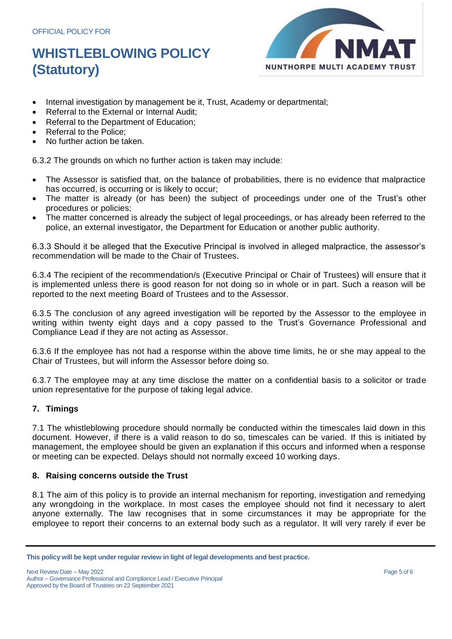

- Internal investigation by management be it, Trust, Academy or departmental;
- Referral to the External or Internal Audit;
- Referral to the Department of Education;
- Referral to the Police;
- No further action be taken.

6.3.2 The grounds on which no further action is taken may include:

- The Assessor is satisfied that, on the balance of probabilities, there is no evidence that malpractice has occurred, is occurring or is likely to occur;
- The matter is already (or has been) the subject of proceedings under one of the Trust's other procedures or policies;
- The matter concerned is already the subject of legal proceedings, or has already been referred to the police, an external investigator, the Department for Education or another public authority.

6.3.3 Should it be alleged that the Executive Principal is involved in alleged malpractice, the assessor's recommendation will be made to the Chair of Trustees.

6.3.4 The recipient of the recommendation/s (Executive Principal or Chair of Trustees) will ensure that it is implemented unless there is good reason for not doing so in whole or in part. Such a reason will be reported to the next meeting Board of Trustees and to the Assessor.

6.3.5 The conclusion of any agreed investigation will be reported by the Assessor to the employee in writing within twenty eight days and a copy passed to the Trust's Governance Professional and Compliance Lead if they are not acting as Assessor.

6.3.6 If the employee has not had a response within the above time limits, he or she may appeal to the Chair of Trustees, but will inform the Assessor before doing so.

6.3.7 The employee may at any time disclose the matter on a confidential basis to a solicitor or trade union representative for the purpose of taking legal advice.

## **7. Timings**

7.1 The whistleblowing procedure should normally be conducted within the timescales laid down in this document. However, if there is a valid reason to do so, timescales can be varied. If this is initiated by management, the employee should be given an explanation if this occurs and informed when a response or meeting can be expected. Delays should not normally exceed 10 working days.

## **8. Raising concerns outside the Trust**

8.1 The aim of this policy is to provide an internal mechanism for reporting, investigation and remedying any wrongdoing in the workplace. In most cases the employee should not find it necessary to alert anyone externally. The law recognises that in some circumstances it may be appropriate for the employee to report their concerns to an external body such as a regulator. It will very rarely if ever be

**This policy will be kept under regular review in light of legal developments and best practice.**